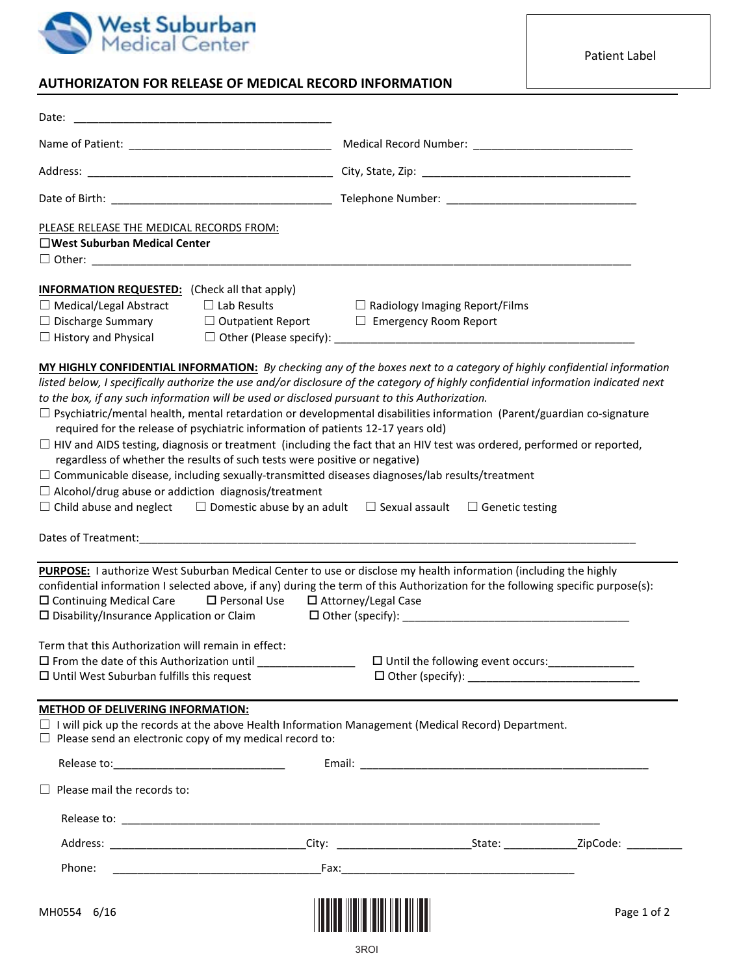

Patient Label

## **AUTHORIZATON FOR RELEASE OF MEDICAL RECORD INFORMATION**

| Date:                                                                                                                                                                                                                                                                                                                                                                                                                                                                                                                                                                             |                                                                       |             |
|-----------------------------------------------------------------------------------------------------------------------------------------------------------------------------------------------------------------------------------------------------------------------------------------------------------------------------------------------------------------------------------------------------------------------------------------------------------------------------------------------------------------------------------------------------------------------------------|-----------------------------------------------------------------------|-------------|
|                                                                                                                                                                                                                                                                                                                                                                                                                                                                                                                                                                                   |                                                                       |             |
|                                                                                                                                                                                                                                                                                                                                                                                                                                                                                                                                                                                   |                                                                       |             |
|                                                                                                                                                                                                                                                                                                                                                                                                                                                                                                                                                                                   |                                                                       |             |
| PLEASE RELEASE THE MEDICAL RECORDS FROM:<br>□West Suburban Medical Center                                                                                                                                                                                                                                                                                                                                                                                                                                                                                                         |                                                                       |             |
| <b>INFORMATION REQUESTED:</b> (Check all that apply)<br>$\Box$ Lab Results<br>$\Box$ Medical/Legal Abstract<br>$\Box$ Discharge Summary<br>$\Box$ Outpatient Report<br>$\Box$ History and Physical                                                                                                                                                                                                                                                                                                                                                                                | $\Box$ Radiology Imaging Report/Films<br>$\Box$ Emergency Room Report |             |
| MY HIGHLY CONFIDENTIAL INFORMATION: By checking any of the boxes next to a category of highly confidential information<br>listed below, I specifically authorize the use and/or disclosure of the category of highly confidential information indicated next<br>to the box, if any such information will be used or disclosed pursuant to this Authorization.<br>$\Box$ Psychiatric/mental health, mental retardation or developmental disabilities information (Parent/guardian co-signature<br>required for the release of psychiatric information of patients 12-17 years old) |                                                                       |             |
| $\Box$ HIV and AIDS testing, diagnosis or treatment (including the fact that an HIV test was ordered, performed or reported,<br>regardless of whether the results of such tests were positive or negative)<br>$\Box$ Communicable disease, including sexually-transmitted diseases diagnoses/lab results/treatment<br>$\Box$ Alcohol/drug abuse or addiction diagnosis/treatment<br>$\Box$ Child abuse and neglect $\Box$ Domestic abuse by an adult $\Box$ Sexual assault $\Box$ Genetic testing                                                                                 |                                                                       |             |
|                                                                                                                                                                                                                                                                                                                                                                                                                                                                                                                                                                                   |                                                                       |             |
| <b>PURPOSE:</b> I authorize West Suburban Medical Center to use or disclose my health information (including the highly<br>confidential information I selected above, if any) during the term of this Authorization for the following specific purpose(s):<br>$\square$ Continuing Medical Care<br>$\square$ Personal Use<br>□ Attorney/Legal Case<br>$\square$ Disability/Insurance Application or Claim                                                                                                                                                                         |                                                                       |             |
| Term that this Authorization will remain in effect:<br>$\Box$ Until West Suburban fulfills this request                                                                                                                                                                                                                                                                                                                                                                                                                                                                           |                                                                       |             |
| <b>METHOD OF DELIVERING INFORMATION:</b><br>$\Box$ I will pick up the records at the above Health Information Management (Medical Record) Department.<br>$\Box$ Please send an electronic copy of my medical record to:                                                                                                                                                                                                                                                                                                                                                           |                                                                       |             |
|                                                                                                                                                                                                                                                                                                                                                                                                                                                                                                                                                                                   |                                                                       |             |
| $\Box$ Please mail the records to:                                                                                                                                                                                                                                                                                                                                                                                                                                                                                                                                                |                                                                       |             |
|                                                                                                                                                                                                                                                                                                                                                                                                                                                                                                                                                                                   |                                                                       |             |
|                                                                                                                                                                                                                                                                                                                                                                                                                                                                                                                                                                                   |                                                                       |             |
| Phone:                                                                                                                                                                                                                                                                                                                                                                                                                                                                                                                                                                            |                                                                       |             |
| MH0554 6/16                                                                                                                                                                                                                                                                                                                                                                                                                                                                                                                                                                       |                                                                       | Page 1 of 2 |